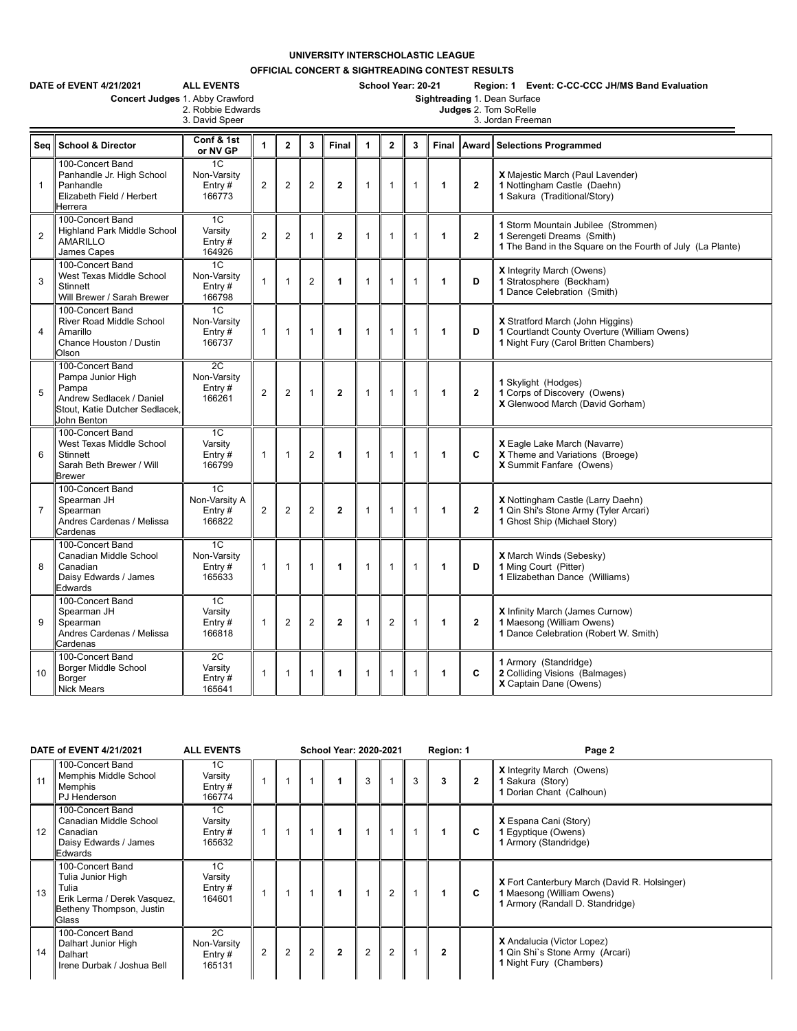## **UNIVERSITY INTERSCHOLASTIC LEAGUE**

**OFFICIAL CONCERT & SIGHTREADING CONTEST RESULTS**

|                | DATE of EVENT 4/21/2021<br><b>ALL EVENTS</b><br>Concert Judges 1. Abby Crawford                                             |                                                      |                |                |                | School Year: 20-21<br>Region: 1 Event: C-CC-CCC JH/MS Band Evaluation<br>Sightreading 1. Dean Surface |                                            |                |              |   |                |                                                                                                                                 |  |  |  |  |
|----------------|-----------------------------------------------------------------------------------------------------------------------------|------------------------------------------------------|----------------|----------------|----------------|-------------------------------------------------------------------------------------------------------|--------------------------------------------|----------------|--------------|---|----------------|---------------------------------------------------------------------------------------------------------------------------------|--|--|--|--|
|                |                                                                                                                             | 2. Robbie Edwards<br>3. David Speer                  |                |                |                |                                                                                                       | Judges 2. Tom SoRelle<br>3. Jordan Freeman |                |              |   |                |                                                                                                                                 |  |  |  |  |
|                | Sea School & Director                                                                                                       | Conf & 1st<br>or NV GP                               | $\mathbf{1}$   | $\mathbf{2}$   | 3              | Final                                                                                                 | $\mathbf{1}$                               | $\overline{2}$ | 3            |   |                | Final Award Selections Programmed                                                                                               |  |  |  |  |
| $\mathbf{1}$   | 100-Concert Band<br>Panhandle Jr. High School<br>Panhandle<br>Elizabeth Field / Herbert<br>Herrera                          | 1 <sup>C</sup><br>Non-Varsity<br>Entry $#$<br>166773 | $\overline{2}$ | $\overline{2}$ | $\overline{2}$ | $\overline{2}$                                                                                        | $\mathbf{1}$                               | 1              | $\mathbf{1}$ | 1 | $\overline{2}$ | X Majestic March (Paul Lavender)<br>1 Nottingham Castle (Daehn)<br>1 Sakura (Traditional/Story)                                 |  |  |  |  |
| $\overline{2}$ | 100-Concert Band<br><b>Highland Park Middle School</b><br><b>AMARILLO</b><br>James Capes                                    | 1C<br>Varsity<br>Entry $#$<br>164926                 | $\overline{2}$ | $\overline{2}$ | $\mathbf 1$    | $\overline{2}$                                                                                        | $\mathbf{1}$                               | 1              | 1            | 1 | $\overline{2}$ | 1 Storm Mountain Jubilee (Strommen)<br>1 Serengeti Dreams (Smith)<br>1 The Band in the Square on the Fourth of July (La Plante) |  |  |  |  |
| 3              | 100-Concert Band<br>West Texas Middle School<br><b>Stinnett</b><br>Will Brewer / Sarah Brewer                               | 1C<br>Non-Varsity<br>Entry $#$<br>166798             | 1              | $\mathbf{1}$   | $\overline{2}$ | 1                                                                                                     | $\mathbf{1}$                               | $\mathbf{1}$   | $\mathbf{1}$ | 1 | D              | <b>X</b> Integrity March (Owens)<br>1 Stratosphere (Beckham)<br>1 Dance Celebration (Smith)                                     |  |  |  |  |
| 4              | 100-Concert Band<br><b>River Road Middle School</b><br>Amarillo<br>Chance Houston / Dustin<br>Olson                         | 1C<br>Non-Varsity<br>Entry $#$<br>166737             | $\mathbf{1}$   | $\mathbf{1}$   | $\mathbf{1}$   | 1                                                                                                     | $\mathbf{1}$                               | 1              | $\mathbf{1}$ | 1 | D              | X Stratford March (John Higgins)<br>1 Courtlandt County Overture (William Owens)<br>1 Night Fury (Carol Britten Chambers)       |  |  |  |  |
| 5              | 100-Concert Band<br>Pampa Junior High<br>Pampa<br>Andrew Sedlacek / Daniel<br>Stout. Katie Dutcher Sedlacek.<br>John Benton | 2C<br>Non-Varsity<br>Entry $#$<br>166261             | $\overline{2}$ | $\overline{2}$ | $\mathbf{1}$   | $\mathbf{2}$                                                                                          | $\mathbf{1}$                               | $\mathbf{1}$   | $\mathbf{1}$ | 1 | $\overline{2}$ | 1 Skylight (Hodges)<br>1 Corps of Discovery (Owens)<br>X Glenwood March (David Gorham)                                          |  |  |  |  |
| 6              | 100-Concert Band<br>West Texas Middle School<br>Stinnett<br>Sarah Beth Brewer / Will<br><b>Brewer</b>                       | 1C<br>Varsity<br>Entry#<br>166799                    | $\mathbf{1}$   | $\mathbf{1}$   | 2              | 1                                                                                                     | $\mathbf{1}$                               | $\mathbf{1}$   | $\mathbf{1}$ | 1 | C              | X Eagle Lake March (Navarre)<br>X Theme and Variations (Broege)<br>X Summit Fanfare (Owens)                                     |  |  |  |  |
| $\overline{7}$ | 100-Concert Band<br>Spearman JH<br>Spearman<br>Andres Cardenas / Melissa<br>Cardenas                                        | 1C<br>Non-Varsity A<br>Entry $#$<br>166822           | $\overline{2}$ | $\overline{2}$ | 2              | $\overline{2}$                                                                                        | $\mathbf{1}$                               | $\mathbf{1}$   | $\mathbf{1}$ | 1 | $\overline{2}$ | X Nottingham Castle (Larry Daehn)<br>1 Qin Shi's Stone Army (Tyler Arcari)<br>1 Ghost Ship (Michael Story)                      |  |  |  |  |
| 8              | 100-Concert Band<br>Canadian Middle School<br>Canadian<br>Daisy Edwards / James<br>Edwards                                  | 1 <sup>C</sup><br>Non-Varsity<br>Entry $#$<br>165633 | $\mathbf{1}$   | $\mathbf{1}$   | $\mathbf{1}$   | 1                                                                                                     | $\mathbf{1}$                               | $\mathbf{1}$   | $\mathbf{1}$ | 1 | D              | <b>X</b> March Winds (Sebesky)<br>1 Ming Court (Pitter)<br>1 Elizabethan Dance (Williams)                                       |  |  |  |  |
| 9              | 100-Concert Band<br>Spearman JH<br>Spearman<br>Andres Cardenas / Melissa<br>Cardenas                                        | 1 <sup>C</sup><br>Varsity<br>Entry#<br>166818        | $\mathbf{1}$   | $\overline{2}$ | 2              | $\mathbf{2}$                                                                                          | $\mathbf{1}$                               | $\overline{2}$ | $\mathbf{1}$ | 1 | $\overline{2}$ | X Infinity March (James Curnow)<br>1 Maesong (William Owens)<br>1 Dance Celebration (Robert W. Smith)                           |  |  |  |  |
| 10             | 100-Concert Band<br><b>Borger Middle School</b><br>Borger<br><b>Nick Mears</b>                                              | 2C<br>Varsity<br>Entry #<br>165641                   | 1              | 1              | $\mathbf{1}$   | 1                                                                                                     | $\mathbf{1}$                               | 1              | 1            | 1 | C              | 1 Armory (Standridge)<br>2 Colliding Visions (Balmages)<br>X Captain Dane (Owens)                                               |  |  |  |  |

| DATE of EVENT 4/21/2021                                                                                                  | <b>ALL EVENTS</b>                        |                |                | School Year: 2020-2021 |              |   |                | Region: 1 |              | Page 2       |                                                                                                                      |
|--------------------------------------------------------------------------------------------------------------------------|------------------------------------------|----------------|----------------|------------------------|--------------|---|----------------|-----------|--------------|--------------|----------------------------------------------------------------------------------------------------------------------|
| 100-Concert Band<br>Memphis Middle School<br>11<br>Memphis<br>PJ Henderson                                               | 1C<br>Varsity<br>Entry $#$<br>166774     |                |                |                        |              | 3 |                | 3         | 3            | $\mathbf{2}$ | <b>X</b> Integrity March (Owens)<br>1 Sakura (Story)<br>1 Dorian Chant (Calhoun)                                     |
| 100-Concert Band<br>Canadian Middle School<br>12<br>Canadian<br>Daisy Edwards / James<br>Edwards                         | 1C<br>Varsity<br>Entry $#$<br>165632     |                |                |                        |              |   |                |           |              | C            | X Espana Cani (Story)<br>1 Egyptique (Owens)<br>1 Armory (Standridge)                                                |
| 100-Concert Band<br>Tulia Junior High<br>Tulia<br>13<br>Erik Lerma / Derek Vasquez,<br>Betheny Thompson, Justin<br>Glass | 1C<br>Varsity<br>Entry#<br>164601        |                |                |                        |              |   | $\overline{2}$ |           |              | C            | <b>X</b> Fort Canterbury March (David R. Holsinger)<br>1 Maesong (William Owens)<br>1 Armory (Randall D. Standridge) |
| 100-Concert Band<br>Dalhart Junior High<br>14<br>Dalhart<br>Irene Durbak / Joshua Bell                                   | 2C<br>Non-Varsity<br>Entry $#$<br>165131 | $\overline{2}$ | $\overline{2}$ | $\overline{2}$         | $\mathbf{2}$ | 2 | $\overline{2}$ |           | $\mathbf{2}$ |              | X Andalucia (Victor Lopez)<br>1 Qin Shi's Stone Army (Arcari)<br>1 Night Fury (Chambers)                             |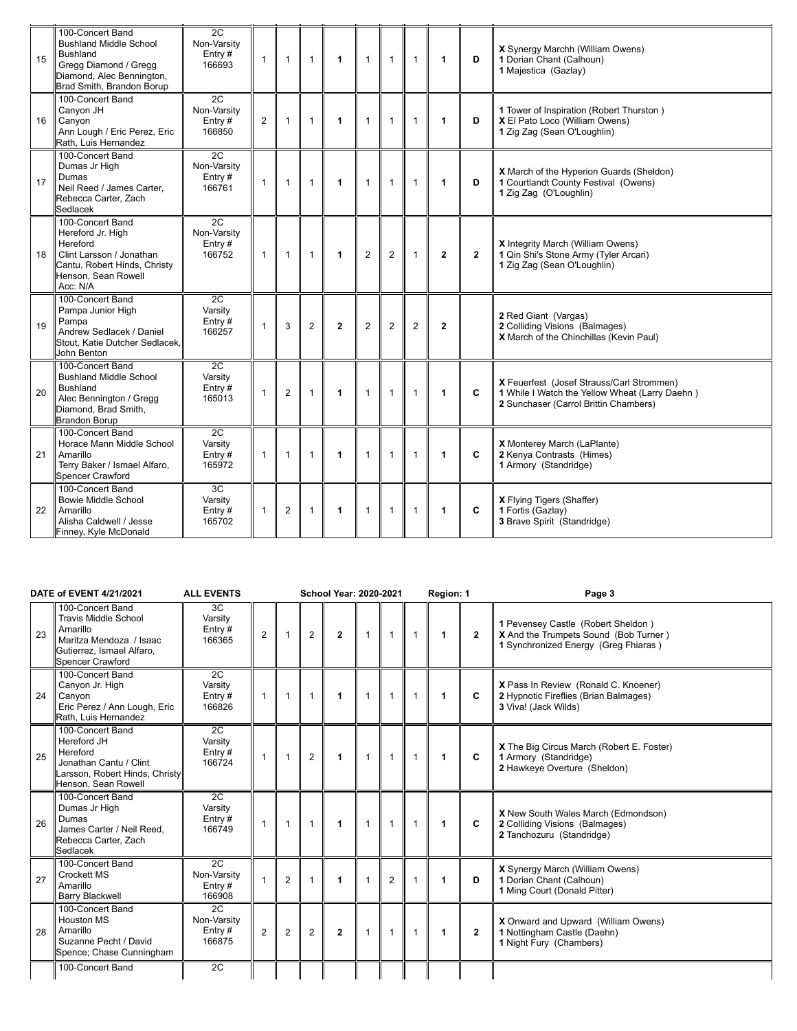| 15 | 100-Concert Band<br><b>Bushland Middle School</b><br><b>Bushland</b><br>Gregg Diamond / Gregg<br>Diamond, Alec Bennington,<br>Brad Smith, Brandon Borup | 2C<br>Non-Varsity<br>Entry $#$<br>166693 | $\mathbf{1}$   | $\mathbf{1}$   | $\mathbf{1}$   | $\blacktriangleleft$ | $\mathbf{1}$   | $\mathbf{1}$   | $\mathbf{1}$ | $\blacktriangleleft$ | D            | X Synergy Marchh (William Owens)<br>1 Dorian Chant (Calhoun)<br>1 Majestica (Gazlay)                                                 |
|----|---------------------------------------------------------------------------------------------------------------------------------------------------------|------------------------------------------|----------------|----------------|----------------|----------------------|----------------|----------------|--------------|----------------------|--------------|--------------------------------------------------------------------------------------------------------------------------------------|
| 16 | 100-Concert Band<br>Canyon JH<br>Canyon<br>Ann Lough / Eric Perez, Eric<br>Rath, Luis Hernandez                                                         | 2C<br>Non-Varsity<br>Entry $#$<br>166850 | $\overline{2}$ | $\mathbf{1}$   | $\mathbf{1}$   | $\mathbf{1}$         | $\mathbf{1}$   | $\mathbf{1}$   | $\mathbf{1}$ | $\blacktriangleleft$ | D            | 1 Tower of Inspiration (Robert Thurston)<br>X El Pato Loco (William Owens)<br>1 Zig Zag (Sean O'Loughlin)                            |
| 17 | 100-Concert Band<br>Dumas Jr High<br>Dumas<br>Neil Reed / James Carter.<br>Rebecca Carter, Zach<br>Sedlacek                                             | 2C<br>Non-Varsity<br>Entry $#$<br>166761 | $\mathbf{1}$   | $\mathbf{1}$   | $\mathbf{1}$   | $\blacktriangleleft$ | $\mathbf{1}$   | $\mathbf{1}$   | $\mathbf{1}$ | $\mathbf{1}$         | D            | X March of the Hyperion Guards (Sheldon)<br>1 Courtlandt County Festival (Owens)<br>1 Zig Zag (O'Loughlin)                           |
| 18 | 100-Concert Band<br>Hereford Jr. High<br>Hereford<br>Clint Larsson / Jonathan<br>Cantu, Robert Hinds, Christy<br>Henson, Sean Rowell<br>Acc: N/A        | 2C<br>Non-Varsity<br>Entry $#$<br>166752 | $\mathbf{1}$   | $\mathbf{1}$   | $\mathbf{1}$   | $\blacktriangleleft$ | $\overline{c}$ | $\overline{2}$ | $\mathbf{1}$ | $\mathbf{2}$         | $\mathbf{2}$ | X Integrity March (William Owens)<br>1 Qin Shi's Stone Army (Tyler Arcari)<br>1 Zig Zag (Sean O'Loughlin)                            |
| 19 | 100-Concert Band<br>Pampa Junior High<br>Pampa<br>Andrew Sedlacek / Daniel<br>Stout, Katie Dutcher Sedlacek,<br>John Benton                             | 2C<br>Varsity<br>Entry#<br>166257        | $\mathbf{1}$   | 3              | 2              | $\overline{2}$       | $\overline{2}$ | 2              | 2            | $\mathbf{2}$         |              | 2 Red Giant (Vargas)<br>2 Colliding Visions (Balmages)<br>X March of the Chinchillas (Kevin Paul)                                    |
| 20 | 100-Concert Band<br><b>Bushland Middle School</b><br><b>Bushland</b><br>Alec Bennington / Gregg<br>Diamond, Brad Smith,<br><b>Brandon Borup</b>         | 2C<br>Varsity<br>Entry $#$<br>165013     | 1              | 2              | $\mathbf{1}$   | $\mathbf{1}$         | $\mathbf{1}$   | $\mathbf{1}$   | $\mathbf{1}$ | $\blacktriangleleft$ | C            | X Feuerfest (Josef Strauss/Carl Strommen)<br>1 While I Watch the Yellow Wheat (Larry Daehn)<br>2 Sunchaser (Carrol Brittin Chambers) |
| 21 | 100-Concert Band<br>Horace Mann Middle School<br>Amarillo<br>Terry Baker / Ismael Alfaro,<br><b>Spencer Crawford</b>                                    | 2C<br>Varsity<br>Entry $#$<br>165972     | 1              | $\mathbf{1}$   | $\overline{1}$ | $\blacktriangleleft$ | $\mathbf{1}$   | $\mathbf{1}$   | $\mathbf{1}$ | $\blacktriangleleft$ | C            | X Monterey March (LaPlante)<br>2 Kenya Contrasts (Himes)<br>1 Armory (Standridge)                                                    |
| 22 | 100-Concert Band<br><b>Bowie Middle School</b><br>Amarillo<br>Alisha Caldwell / Jesse<br>Finney, Kyle McDonald                                          | 3C<br>Varsity<br>Entry#<br>165702        | 1              | $\overline{c}$ | $\mathbf{1}$   | $\blacktriangleleft$ | $\mathbf{1}$   | $\mathbf{1}$   | $\mathbf{1}$ | $\blacktriangleleft$ | C            | X Flying Tigers (Shaffer)<br>1 Fortis (Gazlay)<br>3 Brave Spirit (Standridge)                                                        |

| DATE of EVENT 4/21/2021 |                                                                                                                                         | <b>ALL EVENTS</b>                     | <b>School Year: 2020-2021</b> |                |                |                |                |                |                | Region: 1            |              | Page 3                                                                                                              |
|-------------------------|-----------------------------------------------------------------------------------------------------------------------------------------|---------------------------------------|-------------------------------|----------------|----------------|----------------|----------------|----------------|----------------|----------------------|--------------|---------------------------------------------------------------------------------------------------------------------|
| 23                      | 100-Concert Band<br><b>Travis Middle School</b><br>Amarillo<br>Maritza Mendoza / Isaac<br>Gutierrez, Ismael Alfaro,<br>Spencer Crawford | 3C<br>Varsity<br>Entry#<br>166365     | $\overline{2}$                |                | $\overline{2}$ | $\overline{2}$ | $\mathbf{1}$   | $\mathbf{1}$   | $\mathbf{1}$   | $\blacktriangleleft$ | $\mathbf{2}$ | 1 Pevensey Castle (Robert Sheldon)<br>X And the Trumpets Sound (Bob Turner)<br>1 Synchronized Energy (Greg Fhiaras) |
| 24                      | 100-Concert Band<br>Canyon Jr. High<br>Canyon<br>Eric Perez / Ann Lough, Eric<br>Rath, Luis Hernandez                                   | 2C<br>Varsity<br>Entry#<br>166826     | $\mathbf{1}$                  | $\overline{1}$ | $\mathbf{1}$   | 1              | $\mathbf{1}$   | $\mathbf{1}$   | $\mathbf{1}$   | $\mathbf 1$          | C            | X Pass In Review (Ronald C. Knoener)<br>2 Hypnotic Fireflies (Brian Balmages)<br>3 Viva! (Jack Wilds)               |
| 25                      | 100-Concert Band<br><b>Hereford JH</b><br>Hereford<br>Jonathan Cantu / Clint<br>Larsson, Robert Hinds, Christy<br>Henson, Sean Rowell   | 2C<br>Varsity<br>Entry $#$<br>166724  | $\mathbf{1}$                  |                | 2              | 1              | $\overline{1}$ | $\mathbf{1}$   | $\overline{1}$ | $\mathbf 1$          | C            | X The Big Circus March (Robert E. Foster)<br>1 Armory (Standridge)<br>2 Hawkeye Overture (Sheldon)                  |
| 26                      | 100-Concert Band<br>Dumas Jr High<br>Dumas<br>James Carter / Neil Reed.<br>Rebecca Carter, Zach<br>Sedlacek                             | 2C<br>Varsity<br>Entry $#$<br>166749  | 1                             | $\mathbf{1}$   | $\mathbf{1}$   | 1              | $\mathbf{1}$   | $\mathbf{1}$   | $\mathbf{1}$   | $\blacktriangleleft$ | C            | X New South Wales March (Edmondson)<br>2 Colliding Visions (Balmages)<br>2 Tanchozuru (Standridge)                  |
| 27                      | 100-Concert Band<br><b>Crockett MS</b><br>Amarillo<br><b>Barry Blackwell</b>                                                            | 2C<br>Non-Varsity<br>Entry#<br>166908 |                               | $\overline{2}$ | $\mathbf{1}$   |                | $\mathbf{1}$   | $\overline{2}$ |                | 1                    | D            | X Synergy March (William Owens)<br>1 Dorian Chant (Calhoun)<br>1 Ming Court (Donald Pitter)                         |
| 28                      | 100-Concert Band<br><b>Houston MS</b><br>Amarillo<br>Suzanne Pecht / David<br>Spence; Chase Cunningham                                  | 2C<br>Non-Varsity<br>Entry#<br>166875 | $\overline{2}$                | $\overline{2}$ | 2              | $\overline{2}$ | $\mathbf{1}$   | $\mathbf{1}$   | $\mathbf{1}$   | $\blacktriangleleft$ | $\mathbf{2}$ | X Onward and Upward (William Owens)<br>1 Nottingham Castle (Daehn)<br>1 Night Fury (Chambers)                       |
|                         | 100-Concert Band                                                                                                                        | 2C                                    |                               |                |                |                |                |                |                |                      |              |                                                                                                                     |